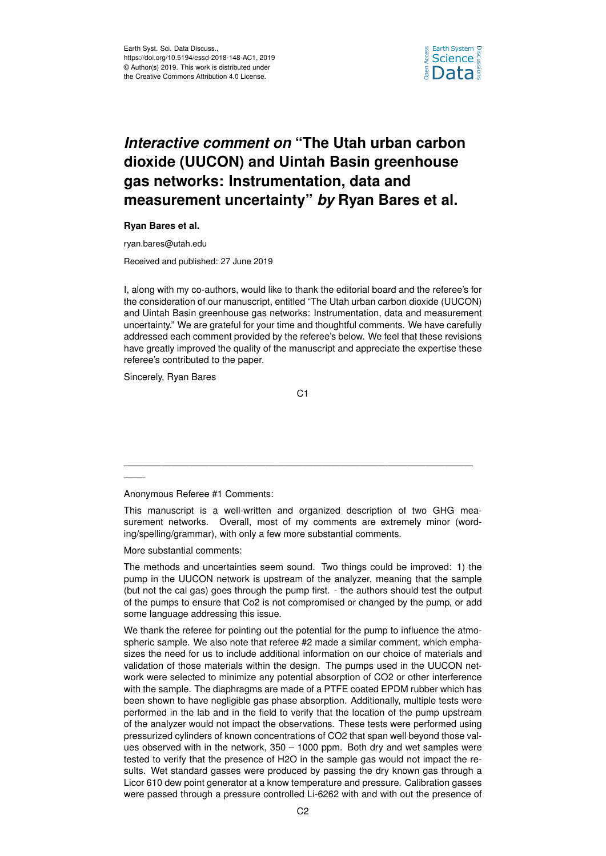

## *Interactive comment on* **"The Utah urban carbon dioxide (UUCON) and Uintah Basin greenhouse gas networks: Instrumentation, data and measurement uncertainty"** *by* **Ryan Bares et al.**

**Ryan Bares et al.**

ryan.bares@utah.edu

Received and published: 27 June 2019

I, along with my co-authors, would like to thank the editorial board and the referee's for the consideration of our manuscript, entitled "The Utah urban carbon dioxide (UUCON) and Uintah Basin greenhouse gas networks: Instrumentation, data and measurement uncertainty." We are grateful for your time and thoughtful comments. We have carefully addressed each comment provided by the referee's below. We feel that these revisions have greatly improved the quality of the manuscript and appreciate the expertise these referee's contributed to the paper.

Sincerely, Ryan Bares

——-

C1

Anonymous Referee #1 Comments:

This manuscript is a well-written and organized description of two GHG measurement networks. Overall, most of my comments are extremely minor (wording/spelling/grammar), with only a few more substantial comments.

—————————————————————————————————————

More substantial comments:

The methods and uncertainties seem sound. Two things could be improved: 1) the pump in the UUCON network is upstream of the analyzer, meaning that the sample (but not the cal gas) goes through the pump first. - the authors should test the output of the pumps to ensure that Co2 is not compromised or changed by the pump, or add some language addressing this issue.

We thank the referee for pointing out the potential for the pump to influence the atmospheric sample. We also note that referee #2 made a similar comment, which emphasizes the need for us to include additional information on our choice of materials and validation of those materials within the design. The pumps used in the UUCON network were selected to minimize any potential absorption of CO2 or other interference with the sample. The diaphragms are made of a PTFE coated EPDM rubber which has been shown to have negligible gas phase absorption. Additionally, multiple tests were performed in the lab and in the field to verify that the location of the pump upstream of the analyzer would not impact the observations. These tests were performed using pressurized cylinders of known concentrations of CO2 that span well beyond those values observed with in the network,  $350 - 1000$  ppm. Both dry and wet samples were tested to verify that the presence of H2O in the sample gas would not impact the results. Wet standard gasses were produced by passing the dry known gas through a Licor 610 dew point generator at a know temperature and pressure. Calibration gasses were passed through a pressure controlled Li-6262 with and with out the presence of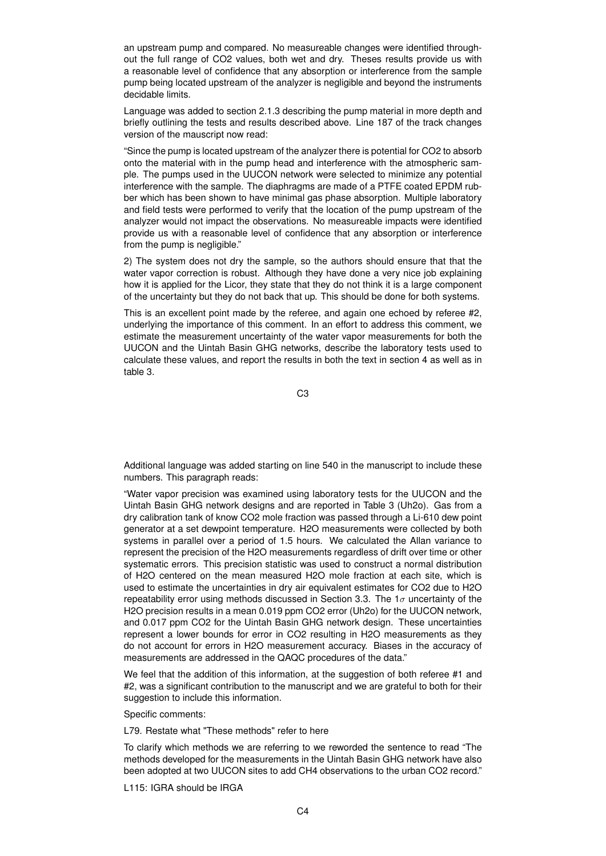an upstream pump and compared. No measureable changes were identified throughout the full range of CO2 values, both wet and dry. Theses results provide us with a reasonable level of confidence that any absorption or interference from the sample pump being located upstream of the analyzer is negligible and beyond the instruments decidable limits.

Language was added to section 2.1.3 describing the pump material in more depth and briefly outlining the tests and results described above. Line 187 of the track changes version of the mauscript now read:

"Since the pump is located upstream of the analyzer there is potential for CO2 to absorb onto the material with in the pump head and interference with the atmospheric sample. The pumps used in the UUCON network were selected to minimize any potential interference with the sample. The diaphragms are made of a PTFE coated EPDM rubber which has been shown to have minimal gas phase absorption. Multiple laboratory and field tests were performed to verify that the location of the pump upstream of the analyzer would not impact the observations. No measureable impacts were identified provide us with a reasonable level of confidence that any absorption or interference from the pump is negligible."

2) The system does not dry the sample, so the authors should ensure that that the water vapor correction is robust. Although they have done a very nice job explaining how it is applied for the Licor, they state that they do not think it is a large component of the uncertainty but they do not back that up. This should be done for both systems.

This is an excellent point made by the referee, and again one echoed by referee #2, underlying the importance of this comment. In an effort to address this comment, we estimate the measurement uncertainty of the water vapor measurements for both the UUCON and the Uintah Basin GHG networks, describe the laboratory tests used to calculate these values, and report the results in both the text in section 4 as well as in table 3.

C3

Additional language was added starting on line 540 in the manuscript to include these numbers. This paragraph reads:

"Water vapor precision was examined using laboratory tests for the UUCON and the Uintah Basin GHG network designs and are reported in Table 3 (Uh2o). Gas from a dry calibration tank of know CO2 mole fraction was passed through a Li-610 dew point generator at a set dewpoint temperature. H2O measurements were collected by both systems in parallel over a period of 1.5 hours. We calculated the Allan variance to represent the precision of the H2O measurements regardless of drift over time or other systematic errors. This precision statistic was used to construct a normal distribution of H2O centered on the mean measured H2O mole fraction at each site, which is used to estimate the uncertainties in dry air equivalent estimates for CO2 due to H2O repeatability error using methods discussed in Section 3.3. The  $1\sigma$  uncertainty of the H2O precision results in a mean 0.019 ppm CO2 error (Uh2o) for the UUCON network, and 0.017 ppm CO2 for the Uintah Basin GHG network design. These uncertainties represent a lower bounds for error in CO2 resulting in H2O measurements as they do not account for errors in H2O measurement accuracy. Biases in the accuracy of measurements are addressed in the QAQC procedures of the data."

We feel that the addition of this information, at the suggestion of both referee #1 and #2, was a significant contribution to the manuscript and we are grateful to both for their suggestion to include this information.

Specific comments:

L79. Restate what "These methods" refer to here

To clarify which methods we are referring to we reworded the sentence to read "The methods developed for the measurements in the Uintah Basin GHG network have also been adopted at two UUCON sites to add CH4 observations to the urban CO2 record."

L115: IGRA should be IRGA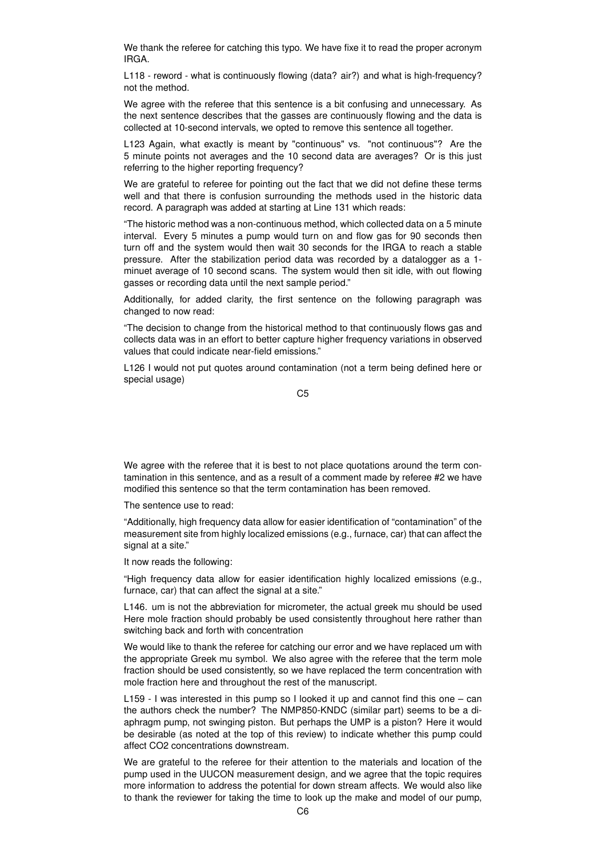We thank the referee for catching this typo. We have fixe it to read the proper acronym IRGA.

L118 - reword - what is continuously flowing (data? air?) and what is high-frequency? not the method.

We agree with the referee that this sentence is a bit confusing and unnecessary. As the next sentence describes that the gasses are continuously flowing and the data is collected at 10-second intervals, we opted to remove this sentence all together.

L123 Again, what exactly is meant by "continuous" vs. "not continuous"? Are the 5 minute points not averages and the 10 second data are averages? Or is this just referring to the higher reporting frequency?

We are grateful to referee for pointing out the fact that we did not define these terms well and that there is confusion surrounding the methods used in the historic data record. A paragraph was added at starting at Line 131 which reads:

"The historic method was a non-continuous method, which collected data on a 5 minute interval. Every 5 minutes a pump would turn on and flow gas for 90 seconds then turn off and the system would then wait 30 seconds for the IRGA to reach a stable pressure. After the stabilization period data was recorded by a datalogger as a 1 minuet average of 10 second scans. The system would then sit idle, with out flowing gasses or recording data until the next sample period."

Additionally, for added clarity, the first sentence on the following paragraph was changed to now read:

"The decision to change from the historical method to that continuously flows gas and collects data was in an effort to better capture higher frequency variations in observed values that could indicate near-field emissions."

L126 I would not put quotes around contamination (not a term being defined here or special usage)

We agree with the referee that it is best to not place quotations around the term contamination in this sentence, and as a result of a comment made by referee #2 we have modified this sentence so that the term contamination has been removed.

The sentence use to read:

"Additionally, high frequency data allow for easier identification of "contamination" of the measurement site from highly localized emissions (e.g., furnace, car) that can affect the signal at a site."

It now reads the following:

"High frequency data allow for easier identification highly localized emissions (e.g., furnace, car) that can affect the signal at a site."

L146. um is not the abbreviation for micrometer, the actual greek mu should be used Here mole fraction should probably be used consistently throughout here rather than switching back and forth with concentration

We would like to thank the referee for catching our error and we have replaced um with the appropriate Greek mu symbol. We also agree with the referee that the term mole fraction should be used consistently, so we have replaced the term concentration with mole fraction here and throughout the rest of the manuscript.

L159 - I was interested in this pump so I looked it up and cannot find this one – can the authors check the number? The NMP850-KNDC (similar part) seems to be a diaphragm pump, not swinging piston. But perhaps the UMP is a piston? Here it would be desirable (as noted at the top of this review) to indicate whether this pump could affect CO2 concentrations downstream.

We are grateful to the referee for their attention to the materials and location of the pump used in the UUCON measurement design, and we agree that the topic requires more information to address the potential for down stream affects. We would also like to thank the reviewer for taking the time to look up the make and model of our pump,

C5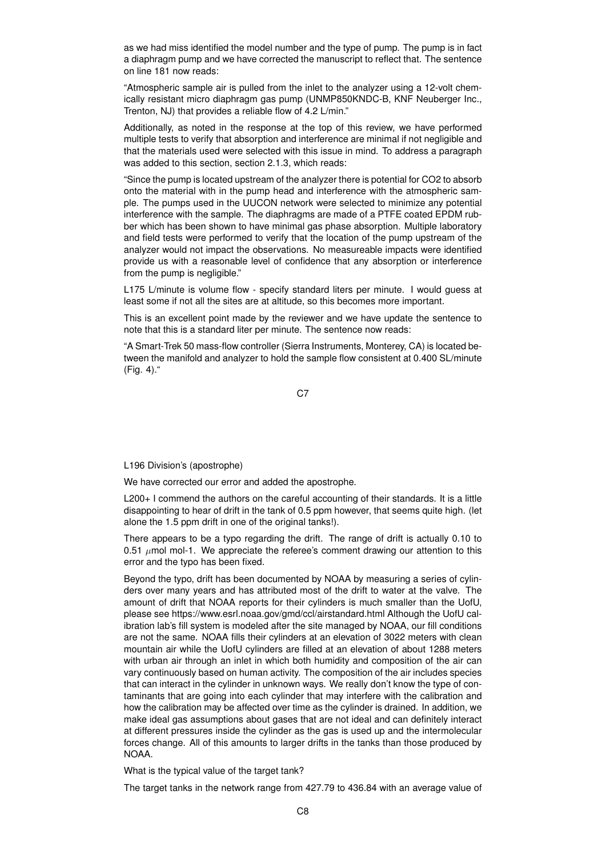as we had miss identified the model number and the type of pump. The pump is in fact a diaphragm pump and we have corrected the manuscript to reflect that. The sentence on line 181 now reads:

"Atmospheric sample air is pulled from the inlet to the analyzer using a 12-volt chemically resistant micro diaphragm gas pump (UNMP850KNDC-B, KNF Neuberger Inc., Trenton, NJ) that provides a reliable flow of 4.2 L/min."

Additionally, as noted in the response at the top of this review, we have performed multiple tests to verify that absorption and interference are minimal if not negligible and that the materials used were selected with this issue in mind. To address a paragraph was added to this section, section 2.1.3, which reads:

"Since the pump is located upstream of the analyzer there is potential for CO2 to absorb onto the material with in the pump head and interference with the atmospheric sample. The pumps used in the UUCON network were selected to minimize any potential interference with the sample. The diaphragms are made of a PTFE coated EPDM rubber which has been shown to have minimal gas phase absorption. Multiple laboratory and field tests were performed to verify that the location of the pump upstream of the analyzer would not impact the observations. No measureable impacts were identified provide us with a reasonable level of confidence that any absorption or interference from the pump is negligible."

L175 L/minute is volume flow - specify standard liters per minute. I would guess at least some if not all the sites are at altitude, so this becomes more important.

This is an excellent point made by the reviewer and we have update the sentence to note that this is a standard liter per minute. The sentence now reads:

"A Smart-Trek 50 mass-flow controller (Sierra Instruments, Monterey, CA) is located between the manifold and analyzer to hold the sample flow consistent at 0.400 SL/minute (Fig. 4)."

C<sub>7</sub>

L196 Division's (apostrophe)

We have corrected our error and added the apostrophe.

L200+ I commend the authors on the careful accounting of their standards. It is a little disappointing to hear of drift in the tank of 0.5 ppm however, that seems quite high. (let alone the 1.5 ppm drift in one of the original tanks!).

There appears to be a typo regarding the drift. The range of drift is actually 0.10 to 0.51  $\mu$ mol mol-1. We appreciate the referee's comment drawing our attention to this error and the typo has been fixed.

Beyond the typo, drift has been documented by NOAA by measuring a series of cylinders over many years and has attributed most of the drift to water at the valve. The amount of drift that NOAA reports for their cylinders is much smaller than the UofU, please see https://www.esrl.noaa.gov/gmd/ccl/airstandard.html Although the UofU calibration lab's fill system is modeled after the site managed by NOAA, our fill conditions are not the same. NOAA fills their cylinders at an elevation of 3022 meters with clean mountain air while the UofU cylinders are filled at an elevation of about 1288 meters with urban air through an inlet in which both humidity and composition of the air can vary continuously based on human activity. The composition of the air includes species that can interact in the cylinder in unknown ways. We really don't know the type of contaminants that are going into each cylinder that may interfere with the calibration and how the calibration may be affected over time as the cylinder is drained. In addition, we make ideal gas assumptions about gases that are not ideal and can definitely interact at different pressures inside the cylinder as the gas is used up and the intermolecular forces change. All of this amounts to larger drifts in the tanks than those produced by NOAA.

What is the typical value of the target tank?

The target tanks in the network range from 427.79 to 436.84 with an average value of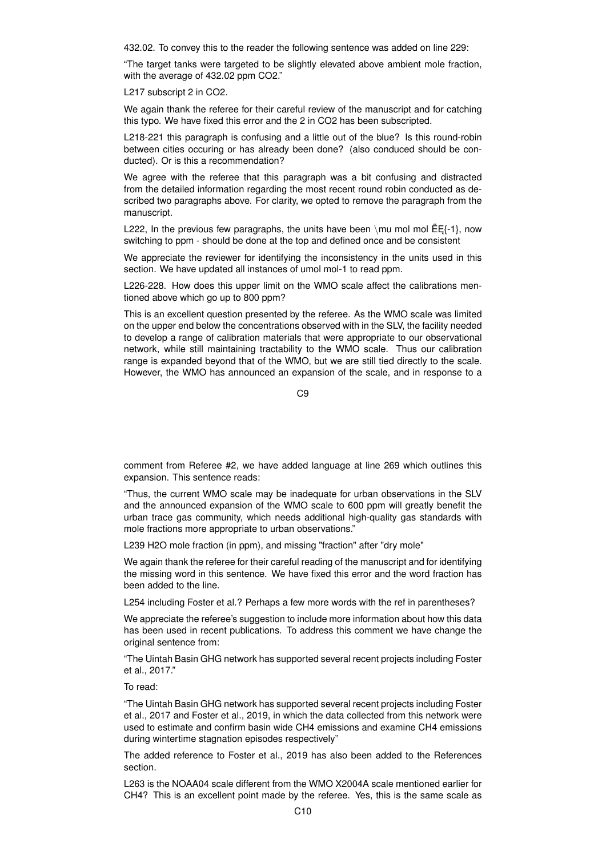432.02. To convey this to the reader the following sentence was added on line 229:

"The target tanks were targeted to be slightly elevated above ambient mole fraction, with the average of 432.02 ppm CO2."

L217 subscript 2 in CO2.

We again thank the referee for their careful review of the manuscript and for catching this typo. We have fixed this error and the 2 in CO2 has been subscripted.

L218-221 this paragraph is confusing and a little out of the blue? Is this round-robin between cities occuring or has already been done? (also conduced should be conducted). Or is this a recommendation?

We agree with the referee that this paragraph was a bit confusing and distracted from the detailed information regarding the most recent round robin conducted as described two paragraphs above. For clarity, we opted to remove the paragraph from the manuscript.

L222, In the previous few paragraphs, the units have been \mu mol mol  $EE\{-1\}$ , now switching to ppm - should be done at the top and defined once and be consistent

We appreciate the reviewer for identifying the inconsistency in the units used in this section. We have updated all instances of umol mol-1 to read ppm.

L226-228. How does this upper limit on the WMO scale affect the calibrations mentioned above which go up to 800 ppm?

This is an excellent question presented by the referee. As the WMO scale was limited on the upper end below the concentrations observed with in the SLV, the facility needed to develop a range of calibration materials that were appropriate to our observational network, while still maintaining tractability to the WMO scale. Thus our calibration range is expanded beyond that of the WMO, but we are still tied directly to the scale. However, the WMO has announced an expansion of the scale, and in response to a

 $C9$ 

comment from Referee #2, we have added language at line 269 which outlines this expansion. This sentence reads:

"Thus, the current WMO scale may be inadequate for urban observations in the SLV and the announced expansion of the WMO scale to 600 ppm will greatly benefit the urban trace gas community, which needs additional high-quality gas standards with mole fractions more appropriate to urban observations."

L239 H2O mole fraction (in ppm), and missing "fraction" after "dry mole"

We again thank the referee for their careful reading of the manuscript and for identifying the missing word in this sentence. We have fixed this error and the word fraction has been added to the line.

L254 including Foster et al.? Perhaps a few more words with the ref in parentheses?

We appreciate the referee's suggestion to include more information about how this data has been used in recent publications. To address this comment we have change the original sentence from:

"The Uintah Basin GHG network has supported several recent projects including Foster et al., 2017."

To read:

"The Uintah Basin GHG network has supported several recent projects including Foster et al., 2017 and Foster et al., 2019, in which the data collected from this network were used to estimate and confirm basin wide CH4 emissions and examine CH4 emissions during wintertime stagnation episodes respectively"

The added reference to Foster et al., 2019 has also been added to the References section.

L263 is the NOAA04 scale different from the WMO X2004A scale mentioned earlier for CH4? This is an excellent point made by the referee. Yes, this is the same scale as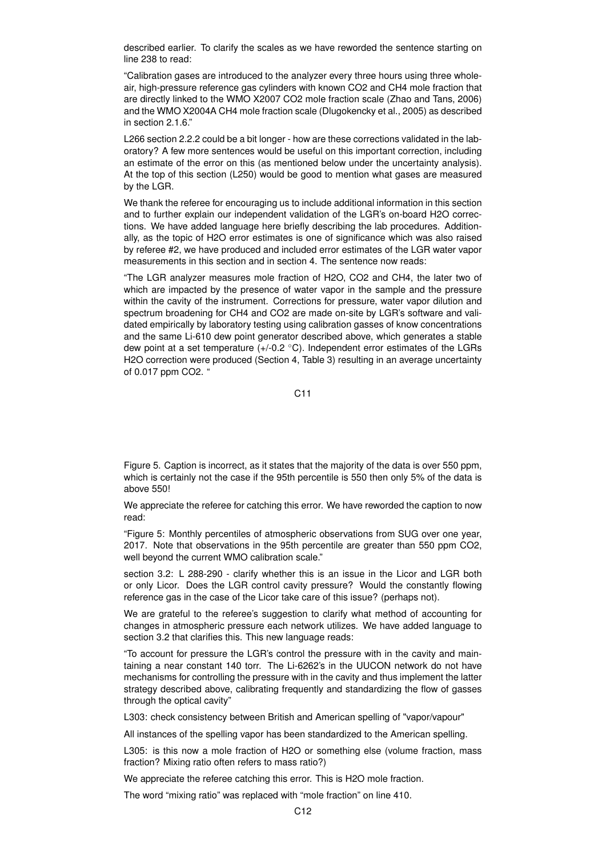described earlier. To clarify the scales as we have reworded the sentence starting on line 238 to read:

"Calibration gases are introduced to the analyzer every three hours using three wholeair, high-pressure reference gas cylinders with known CO2 and CH4 mole fraction that are directly linked to the WMO X2007 CO2 mole fraction scale (Zhao and Tans, 2006) and the WMO X2004A CH4 mole fraction scale (Dlugokencky et al., 2005) as described in section 2.1.6."

L266 section 2.2.2 could be a bit longer - how are these corrections validated in the laboratory? A few more sentences would be useful on this important correction, including an estimate of the error on this (as mentioned below under the uncertainty analysis). At the top of this section (L250) would be good to mention what gases are measured by the LGR.

We thank the referee for encouraging us to include additional information in this section and to further explain our independent validation of the LGR's on-board H2O corrections. We have added language here briefly describing the lab procedures. Additionally, as the topic of H2O error estimates is one of significance which was also raised by referee #2, we have produced and included error estimates of the LGR water vapor measurements in this section and in section 4. The sentence now reads:

"The LGR analyzer measures mole fraction of H2O, CO2 and CH4, the later two of which are impacted by the presence of water vapor in the sample and the pressure within the cavity of the instrument. Corrections for pressure, water vapor dilution and spectrum broadening for CH4 and CO2 are made on-site by LGR's software and validated empirically by laboratory testing using calibration gasses of know concentrations and the same Li-610 dew point generator described above, which generates a stable dew point at a set temperature (+/-0.2 ◦C). Independent error estimates of the LGRs H2O correction were produced (Section 4, Table 3) resulting in an average uncertainty of 0.017 ppm CO2. '

C11

Figure 5. Caption is incorrect, as it states that the majority of the data is over 550 ppm, which is certainly not the case if the 95th percentile is 550 then only 5% of the data is above 550!

We appreciate the referee for catching this error. We have reworded the caption to now read:

"Figure 5: Monthly percentiles of atmospheric observations from SUG over one year, 2017. Note that observations in the 95th percentile are greater than 550 ppm CO2, well beyond the current WMO calibration scale."

section 3.2: L 288-290 - clarify whether this is an issue in the Licor and LGR both or only Licor. Does the LGR control cavity pressure? Would the constantly flowing reference gas in the case of the Licor take care of this issue? (perhaps not).

We are grateful to the referee's suggestion to clarify what method of accounting for changes in atmospheric pressure each network utilizes. We have added language to section 3.2 that clarifies this. This new language reads:

"To account for pressure the LGR's control the pressure with in the cavity and maintaining a near constant 140 torr. The Li-6262's in the UUCON network do not have mechanisms for controlling the pressure with in the cavity and thus implement the latter strategy described above, calibrating frequently and standardizing the flow of gasses through the optical cavity"

L303: check consistency between British and American spelling of "vapor/vapour"

All instances of the spelling vapor has been standardized to the American spelling.

L305: is this now a mole fraction of H2O or something else (volume fraction, mass fraction? Mixing ratio often refers to mass ratio?)

We appreciate the referee catching this error. This is H2O mole fraction.

The word "mixing ratio" was replaced with "mole fraction" on line 410.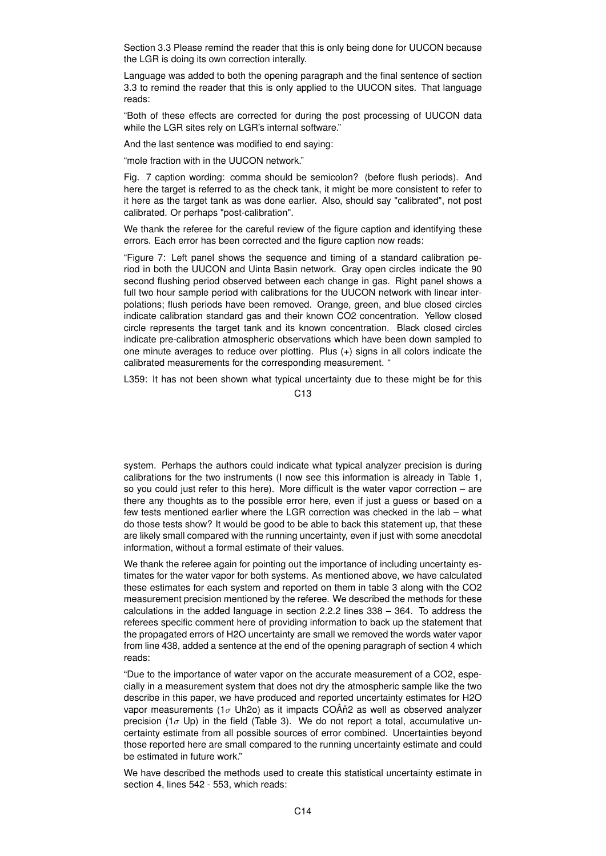Section 3.3 Please remind the reader that this is only being done for UUCON because the LGR is doing its own correction interally.

Language was added to both the opening paragraph and the final sentence of section 3.3 to remind the reader that this is only applied to the UUCON sites. That language reads:

"Both of these effects are corrected for during the post processing of UUCON data while the LGR sites rely on LGR's internal software."

And the last sentence was modified to end saying:

"mole fraction with in the UUCON network."

Fig. 7 caption wording: comma should be semicolon? (before flush periods). And here the target is referred to as the check tank, it might be more consistent to refer to it here as the target tank as was done earlier. Also, should say "calibrated", not post calibrated. Or perhaps "post-calibration".

We thank the referee for the careful review of the figure caption and identifying these errors. Each error has been corrected and the figure caption now reads:

"Figure 7: Left panel shows the sequence and timing of a standard calibration period in both the UUCON and Uinta Basin network. Gray open circles indicate the 90 second flushing period observed between each change in gas. Right panel shows a full two hour sample period with calibrations for the UUCON network with linear interpolations; flush periods have been removed. Orange, green, and blue closed circles indicate calibration standard gas and their known CO2 concentration. Yellow closed circle represents the target tank and its known concentration. Black closed circles indicate pre-calibration atmospheric observations which have been down sampled to one minute averages to reduce over plotting. Plus (+) signs in all colors indicate the calibrated measurements for the corresponding measurement. "

L359: It has not been shown what typical uncertainty due to these might be for this

C13

system. Perhaps the authors could indicate what typical analyzer precision is during calibrations for the two instruments (I now see this information is already in Table 1, so you could just refer to this here). More difficult is the water vapor correction – are there any thoughts as to the possible error here, even if just a guess or based on a few tests mentioned earlier where the LGR correction was checked in the lab – what do those tests show? It would be good to be able to back this statement up, that these are likely small compared with the running uncertainty, even if just with some anecdotal information, without a formal estimate of their values.

We thank the referee again for pointing out the importance of including uncertainty estimates for the water vapor for both systems. As mentioned above, we have calculated these estimates for each system and reported on them in table 3 along with the CO2 measurement precision mentioned by the referee. We described the methods for these calculations in the added language in section 2.2.2 lines 338 – 364. To address the referees specific comment here of providing information to back up the statement that the propagated errors of H2O uncertainty are small we removed the words water vapor from line 438, added a sentence at the end of the opening paragraph of section 4 which reads:

"Due to the importance of water vapor on the accurate measurement of a CO2, especially in a measurement system that does not dry the atmospheric sample like the two describe in this paper, we have produced and reported uncertainty estimates for H2O vapor measurements (1 $\sigma$  Uh2o) as it impacts COÂň2 as well as observed analyzer precision ( $1\sigma$  Up) in the field (Table 3). We do not report a total, accumulative uncertainty estimate from all possible sources of error combined. Uncertainties beyond those reported here are small compared to the running uncertainty estimate and could be estimated in future work."

We have described the methods used to create this statistical uncertainty estimate in section 4, lines 542 - 553, which reads: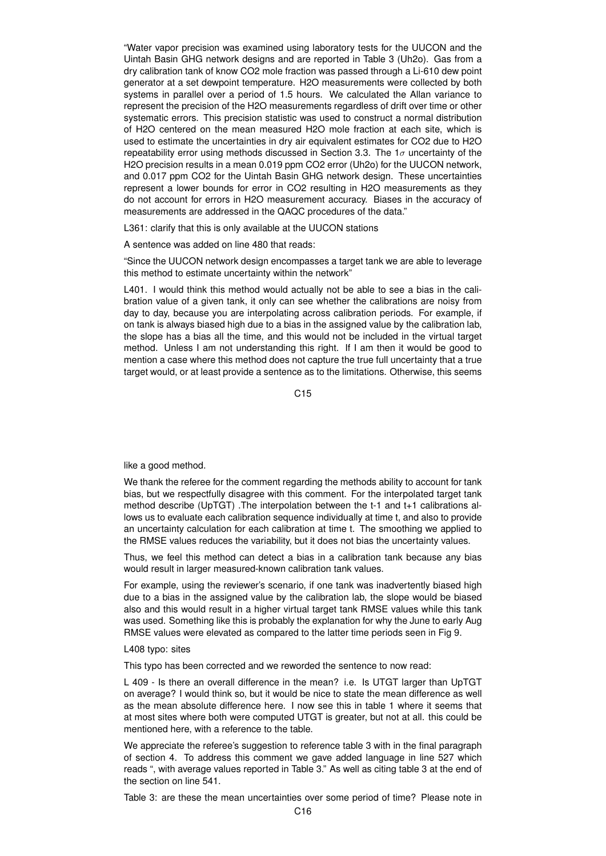"Water vapor precision was examined using laboratory tests for the UUCON and the Uintah Basin GHG network designs and are reported in Table 3 (Uh2o). Gas from a dry calibration tank of know CO2 mole fraction was passed through a Li-610 dew point generator at a set dewpoint temperature. H2O measurements were collected by both systems in parallel over a period of 1.5 hours. We calculated the Allan variance to represent the precision of the H2O measurements regardless of drift over time or other systematic errors. This precision statistic was used to construct a normal distribution of H2O centered on the mean measured H2O mole fraction at each site, which is used to estimate the uncertainties in dry air equivalent estimates for CO2 due to H2O repeatability error using methods discussed in Section 3.3. The  $1\sigma$  uncertainty of the H2O precision results in a mean 0.019 ppm CO2 error (Uh2o) for the UUCON network, and 0.017 ppm CO2 for the Uintah Basin GHG network design. These uncertainties represent a lower bounds for error in CO2 resulting in H2O measurements as they do not account for errors in H2O measurement accuracy. Biases in the accuracy of measurements are addressed in the QAQC procedures of the data."

L361: clarify that this is only available at the UUCON stations

A sentence was added on line 480 that reads:

"Since the UUCON network design encompasses a target tank we are able to leverage this method to estimate uncertainty within the network"

L401. I would think this method would actually not be able to see a bias in the calibration value of a given tank, it only can see whether the calibrations are noisy from day to day, because you are interpolating across calibration periods. For example, if on tank is always biased high due to a bias in the assigned value by the calibration lab, the slope has a bias all the time, and this would not be included in the virtual target method. Unless I am not understanding this right. If I am then it would be good to mention a case where this method does not capture the true full uncertainty that a true target would, or at least provide a sentence as to the limitations. Otherwise, this seems

C<sub>15</sub>

like a good method.

We thank the referee for the comment regarding the methods ability to account for tank bias, but we respectfully disagree with this comment. For the interpolated target tank method describe (UpTGT) .The interpolation between the t-1 and t+1 calibrations allows us to evaluate each calibration sequence individually at time t, and also to provide an uncertainty calculation for each calibration at time t. The smoothing we applied to the RMSE values reduces the variability, but it does not bias the uncertainty values.

Thus, we feel this method can detect a bias in a calibration tank because any bias would result in larger measured-known calibration tank values.

For example, using the reviewer's scenario, if one tank was inadvertently biased high due to a bias in the assigned value by the calibration lab, the slope would be biased also and this would result in a higher virtual target tank RMSE values while this tank was used. Something like this is probably the explanation for why the June to early Aug RMSE values were elevated as compared to the latter time periods seen in Fig 9.

L408 typo: sites

This typo has been corrected and we reworded the sentence to now read:

L 409 - Is there an overall difference in the mean? i.e. Is UTGT larger than UpTGT on average? I would think so, but it would be nice to state the mean difference as well as the mean absolute difference here. I now see this in table 1 where it seems that at most sites where both were computed UTGT is greater, but not at all. this could be mentioned here, with a reference to the table.

We appreciate the referee's suggestion to reference table 3 with in the final paragraph of section 4. To address this comment we gave added language in line 527 which reads ", with average values reported in Table 3." As well as citing table 3 at the end of the section on line 541.

Table 3: are these the mean uncertainties over some period of time? Please note in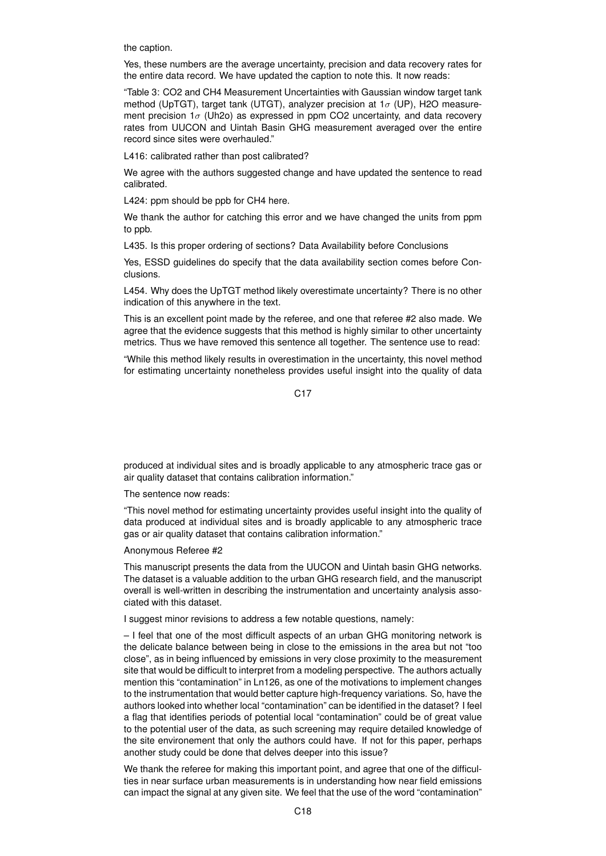the caption.

Yes, these numbers are the average uncertainty, precision and data recovery rates for the entire data record. We have updated the caption to note this. It now reads:

"Table 3: CO2 and CH4 Measurement Uncertainties with Gaussian window target tank method (UpTGT), target tank (UTGT), analyzer precision at  $1\sigma$  (UP), H2O measurement precision  $1\sigma$  (Uh2o) as expressed in ppm CO2 uncertainty, and data recovery rates from UUCON and Uintah Basin GHG measurement averaged over the entire record since sites were overhauled."

L416: calibrated rather than post calibrated?

We agree with the authors suggested change and have updated the sentence to read calibrated.

L424: ppm should be ppb for CH4 here.

We thank the author for catching this error and we have changed the units from ppm to ppb.

L435. Is this proper ordering of sections? Data Availability before Conclusions

Yes, ESSD guidelines do specify that the data availability section comes before Conclusions.

L454. Why does the UpTGT method likely overestimate uncertainty? There is no other indication of this anywhere in the text.

This is an excellent point made by the referee, and one that referee #2 also made. We agree that the evidence suggests that this method is highly similar to other uncertainty metrics. Thus we have removed this sentence all together. The sentence use to read:

"While this method likely results in overestimation in the uncertainty, this novel method for estimating uncertainty nonetheless provides useful insight into the quality of data

 $C<sub>17</sub>$ 

produced at individual sites and is broadly applicable to any atmospheric trace gas or air quality dataset that contains calibration information."

The sentence now reads:

"This novel method for estimating uncertainty provides useful insight into the quality of data produced at individual sites and is broadly applicable to any atmospheric trace gas or air quality dataset that contains calibration information."

Anonymous Referee #2

This manuscript presents the data from the UUCON and Uintah basin GHG networks. The dataset is a valuable addition to the urban GHG research field, and the manuscript overall is well-written in describing the instrumentation and uncertainty analysis associated with this dataset.

I suggest minor revisions to address a few notable questions, namely:

– I feel that one of the most difficult aspects of an urban GHG monitoring network is the delicate balance between being in close to the emissions in the area but not "too close", as in being influenced by emissions in very close proximity to the measurement site that would be difficult to interpret from a modeling perspective. The authors actually mention this "contamination" in Ln126, as one of the motivations to implement changes to the instrumentation that would better capture high-frequency variations. So, have the authors looked into whether local "contamination" can be identified in the dataset? I feel a flag that identifies periods of potential local "contamination" could be of great value to the potential user of the data, as such screening may require detailed knowledge of the site environement that only the authors could have. If not for this paper, perhaps another study could be done that delves deeper into this issue?

We thank the referee for making this important point, and agree that one of the difficulties in near surface urban measurements is in understanding how near field emissions can impact the signal at any given site. We feel that the use of the word "contamination"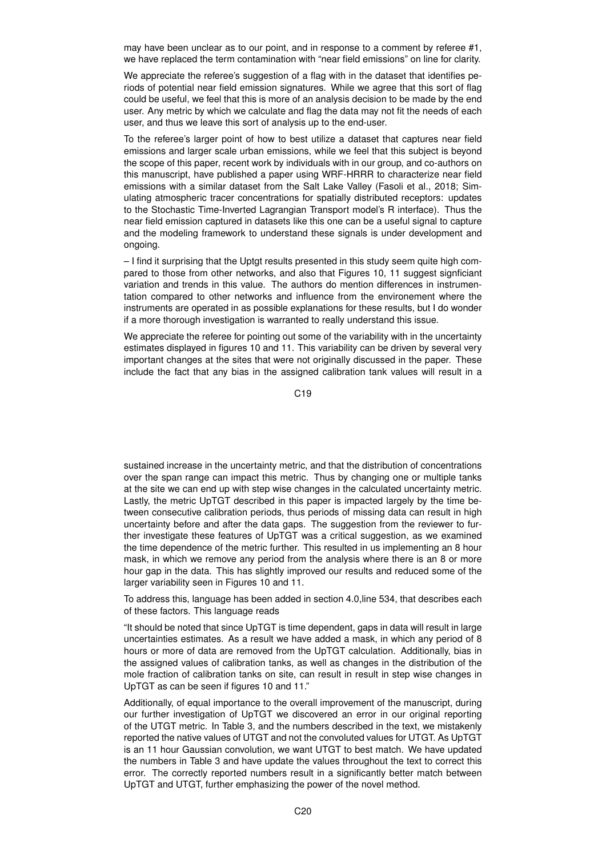may have been unclear as to our point, and in response to a comment by referee #1, we have replaced the term contamination with "near field emissions" on line for clarity.

We appreciate the referee's suggestion of a flag with in the dataset that identifies periods of potential near field emission signatures. While we agree that this sort of flag could be useful, we feel that this is more of an analysis decision to be made by the end user. Any metric by which we calculate and flag the data may not fit the needs of each user, and thus we leave this sort of analysis up to the end-user.

To the referee's larger point of how to best utilize a dataset that captures near field emissions and larger scale urban emissions, while we feel that this subject is beyond the scope of this paper, recent work by individuals with in our group, and co-authors on this manuscript, have published a paper using WRF-HRRR to characterize near field emissions with a similar dataset from the Salt Lake Valley (Fasoli et al., 2018; Simulating atmospheric tracer concentrations for spatially distributed receptors: updates to the Stochastic Time-Inverted Lagrangian Transport model's R interface). Thus the near field emission captured in datasets like this one can be a useful signal to capture and the modeling framework to understand these signals is under development and ongoing.

– I find it surprising that the Uptgt results presented in this study seem quite high compared to those from other networks, and also that Figures 10, 11 suggest signficiant variation and trends in this value. The authors do mention differences in instrumentation compared to other networks and influence from the environement where the instruments are operated in as possible explanations for these results, but I do wonder if a more thorough investigation is warranted to really understand this issue.

We appreciate the referee for pointing out some of the variability with in the uncertainty estimates displayed in figures 10 and 11. This variability can be driven by several very important changes at the sites that were not originally discussed in the paper. These include the fact that any bias in the assigned calibration tank values will result in a

C19

sustained increase in the uncertainty metric, and that the distribution of concentrations over the span range can impact this metric. Thus by changing one or multiple tanks at the site we can end up with step wise changes in the calculated uncertainty metric. Lastly, the metric UpTGT described in this paper is impacted largely by the time between consecutive calibration periods, thus periods of missing data can result in high uncertainty before and after the data gaps. The suggestion from the reviewer to further investigate these features of UpTGT was a critical suggestion, as we examined the time dependence of the metric further. This resulted in us implementing an 8 hour mask, in which we remove any period from the analysis where there is an 8 or more hour gap in the data. This has slightly improved our results and reduced some of the larger variability seen in Figures 10 and 11.

To address this, language has been added in section 4.0,line 534, that describes each of these factors. This language reads

"It should be noted that since UpTGT is time dependent, gaps in data will result in large uncertainties estimates. As a result we have added a mask, in which any period of 8 hours or more of data are removed from the UpTGT calculation. Additionally, bias in the assigned values of calibration tanks, as well as changes in the distribution of the mole fraction of calibration tanks on site, can result in result in step wise changes in UpTGT as can be seen if figures 10 and 11."

Additionally, of equal importance to the overall improvement of the manuscript, during our further investigation of UpTGT we discovered an error in our original reporting of the UTGT metric. In Table 3, and the numbers described in the text, we mistakenly reported the native values of UTGT and not the convoluted values for UTGT. As UpTGT is an 11 hour Gaussian convolution, we want UTGT to best match. We have updated the numbers in Table 3 and have update the values throughout the text to correct this error. The correctly reported numbers result in a significantly better match between UpTGT and UTGT, further emphasizing the power of the novel method.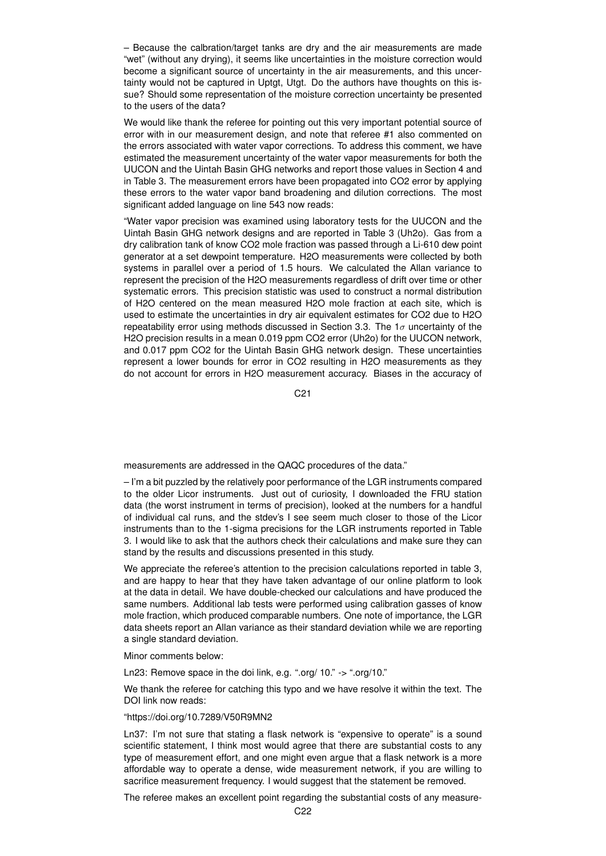– Because the calbration/target tanks are dry and the air measurements are made "wet" (without any drying), it seems like uncertainties in the moisture correction would become a significant source of uncertainty in the air measurements, and this uncertainty would not be captured in Uptgt, Utgt. Do the authors have thoughts on this issue? Should some representation of the moisture correction uncertainty be presented to the users of the data?

We would like thank the referee for pointing out this very important potential source of error with in our measurement design, and note that referee #1 also commented on the errors associated with water vapor corrections. To address this comment, we have estimated the measurement uncertainty of the water vapor measurements for both the UUCON and the Uintah Basin GHG networks and report those values in Section 4 and in Table 3. The measurement errors have been propagated into CO2 error by applying these errors to the water vapor band broadening and dilution corrections. The most significant added language on line 543 now reads:

"Water vapor precision was examined using laboratory tests for the UUCON and the Uintah Basin GHG network designs and are reported in Table 3 (Uh2o). Gas from a dry calibration tank of know CO2 mole fraction was passed through a Li-610 dew point generator at a set dewpoint temperature. H2O measurements were collected by both systems in parallel over a period of 1.5 hours. We calculated the Allan variance to represent the precision of the H2O measurements regardless of drift over time or other systematic errors. This precision statistic was used to construct a normal distribution of H2O centered on the mean measured H2O mole fraction at each site, which is used to estimate the uncertainties in dry air equivalent estimates for CO2 due to H2O repeatability error using methods discussed in Section 3.3. The  $1\sigma$  uncertainty of the H2O precision results in a mean 0.019 ppm CO2 error (Uh2o) for the UUCON network, and 0.017 ppm CO2 for the Uintah Basin GHG network design. These uncertainties represent a lower bounds for error in CO2 resulting in H2O measurements as they do not account for errors in H2O measurement accuracy. Biases in the accuracy of

C21

measurements are addressed in the QAQC procedures of the data."

– I'm a bit puzzled by the relatively poor performance of the LGR instruments compared to the older Licor instruments. Just out of curiosity, I downloaded the FRU station data (the worst instrument in terms of precision), looked at the numbers for a handful of individual cal runs, and the stdev's I see seem much closer to those of the Licor instruments than to the 1-sigma precisions for the LGR instruments reported in Table 3. I would like to ask that the authors check their calculations and make sure they can stand by the results and discussions presented in this study.

We appreciate the referee's attention to the precision calculations reported in table 3, and are happy to hear that they have taken advantage of our online platform to look at the data in detail. We have double-checked our calculations and have produced the same numbers. Additional lab tests were performed using calibration gasses of know mole fraction, which produced comparable numbers. One note of importance, the LGR data sheets report an Allan variance as their standard deviation while we are reporting a single standard deviation.

Minor comments below:

Ln23: Remove space in the doi link, e.g. ".org/ 10." -> ".org/10."

We thank the referee for catching this typo and we have resolve it within the text. The DOI link now reads:

## "https://doi.org/10.7289/V50R9MN2

Ln37: I'm not sure that stating a flask network is "expensive to operate" is a sound scientific statement, I think most would agree that there are substantial costs to any type of measurement effort, and one might even argue that a flask network is a more affordable way to operate a dense, wide measurement network, if you are willing to sacrifice measurement frequency. I would suggest that the statement be removed.

The referee makes an excellent point regarding the substantial costs of any measure-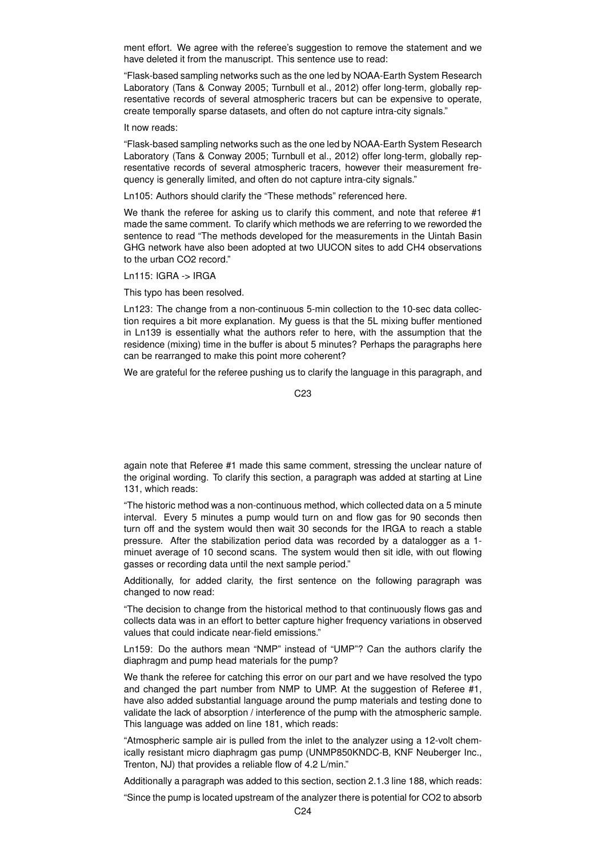ment effort. We agree with the referee's suggestion to remove the statement and we have deleted it from the manuscript. This sentence use to read:

"Flask-based sampling networks such as the one led by NOAA-Earth System Research Laboratory (Tans & Conway 2005; Turnbull et al., 2012) offer long-term, globally representative records of several atmospheric tracers but can be expensive to operate, create temporally sparse datasets, and often do not capture intra-city signals."

It now reads:

"Flask-based sampling networks such as the one led by NOAA-Earth System Research Laboratory (Tans & Conway 2005; Turnbull et al., 2012) offer long-term, globally representative records of several atmospheric tracers, however their measurement frequency is generally limited, and often do not capture intra-city signals."

Ln105: Authors should clarify the "These methods" referenced here.

We thank the referee for asking us to clarify this comment, and note that referee #1 made the same comment. To clarify which methods we are referring to we reworded the sentence to read "The methods developed for the measurements in the Uintah Basin GHG network have also been adopted at two UUCON sites to add CH4 observations to the urban CO2 record."

Ln115: IGRA -> IRGA

This typo has been resolved.

Ln123: The change from a non-continuous 5-min collection to the 10-sec data collection requires a bit more explanation. My guess is that the 5L mixing buffer mentioned in Ln139 is essentially what the authors refer to here, with the assumption that the residence (mixing) time in the buffer is about 5 minutes? Perhaps the paragraphs here can be rearranged to make this point more coherent?

We are grateful for the referee pushing us to clarify the language in this paragraph, and

C23

again note that Referee #1 made this same comment, stressing the unclear nature of the original wording. To clarify this section, a paragraph was added at starting at Line 131, which reads:

"The historic method was a non-continuous method, which collected data on a 5 minute interval. Every 5 minutes a pump would turn on and flow gas for 90 seconds then turn off and the system would then wait 30 seconds for the IRGA to reach a stable pressure. After the stabilization period data was recorded by a datalogger as a 1 minuet average of 10 second scans. The system would then sit idle, with out flowing gasses or recording data until the next sample period."

Additionally, for added clarity, the first sentence on the following paragraph was changed to now read:

"The decision to change from the historical method to that continuously flows gas and collects data was in an effort to better capture higher frequency variations in observed values that could indicate near-field emissions."

Ln159: Do the authors mean "NMP" instead of "UMP"? Can the authors clarify the diaphragm and pump head materials for the pump?

We thank the referee for catching this error on our part and we have resolved the typo and changed the part number from NMP to UMP. At the suggestion of Referee #1, have also added substantial language around the pump materials and testing done to validate the lack of absorption / interference of the pump with the atmospheric sample. This language was added on line 181, which reads:

"Atmospheric sample air is pulled from the inlet to the analyzer using a 12-volt chemically resistant micro diaphragm gas pump (UNMP850KNDC-B, KNF Neuberger Inc., Trenton, NJ) that provides a reliable flow of 4.2 L/min."

Additionally a paragraph was added to this section, section 2.1.3 line 188, which reads:

"Since the pump is located upstream of the analyzer there is potential for CO2 to absorb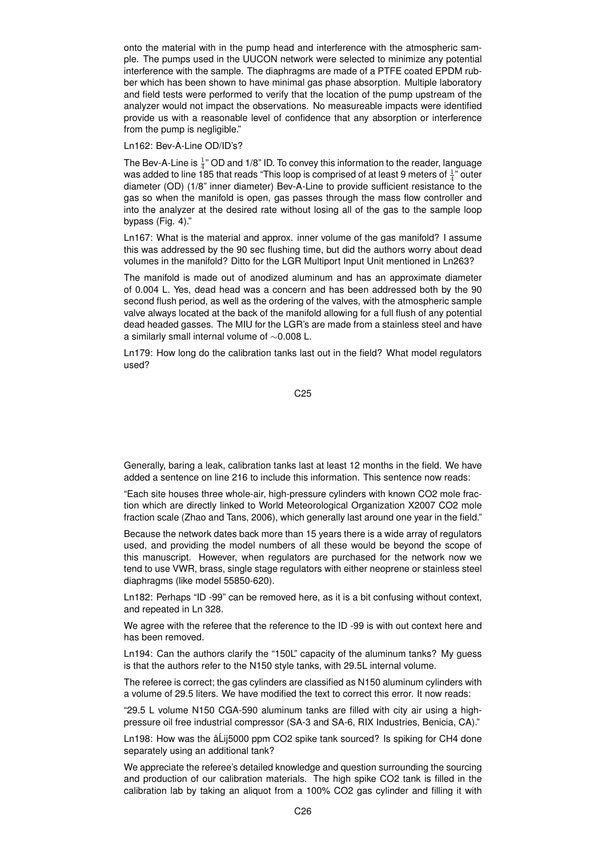onto the material with in the pump head and interference with the atmospheric sample. The pumps used in the UUCON network were selected to minimize any potential interference with the sample. The diaphragms are made of a PTFE coated EPDM rubber which has been shown to have minimal gas phase absorption. Multiple laboratory and field tests were performed to verify that the location of the pump upstream of the analyzer would not impact the observations. No measureable impacts were identified provide us with a reasonable level of confidence that any absorption or interference from the pump is negligible."

Ln162: Bev-A-Line OD/ID's?

The Bev-A-Line is  $\frac{1}{4}$ " OD and 1/8" ID. To convey this information to the reader, language was added to line 185 that reads "This loop is comprised of at least 9 meters of  $\frac{1}{4}$ " outer diameter (OD) (1/8" inner diameter) Bev-A-Line to provide sufficient resistance to the gas so when the manifold is open, gas passes through the mass flow controller and into the analyzer at the desired rate without losing all of the gas to the sample loop bypass (Fig. 4)."

Ln167: What is the material and approx. inner volume of the gas manifold? I assume this was addressed by the 90 sec flushing time, but did the authors worry about dead volumes in the manifold? Ditto for the LGR Multiport Input Unit mentioned in Ln263?

The manifold is made out of anodized aluminum and has an approximate diameter of 0.004 L. Yes, dead head was a concern and has been addressed both by the 90 second flush period, as well as the ordering of the valves, with the atmospheric sample valve always located at the back of the manifold allowing for a full flush of any potential dead headed gasses. The MIU for the LGR's are made from a stainless steel and have a similarly small internal volume of ∼0.008 L.

Ln179: How long do the calibration tanks last out in the field? What model regulators used?

C25

Generally, baring a leak, calibration tanks last at least 12 months in the field. We have added a sentence on line 216 to include this information. This sentence now reads:

"Each site houses three whole-air, high-pressure cylinders with known CO2 mole fraction which are directly linked to World Meteorological Organization X2007 CO2 mole fraction scale (Zhao and Tans, 2006), which generally last around one year in the field."

Because the network dates back more than 15 years there is a wide array of regulators used, and providing the model numbers of all these would be beyond the scope of this manuscript. However, when regulators are purchased for the network now we tend to use VWR, brass, single stage regulators with either neoprene or stainless steel diaphragms (like model 55850-620).

Ln182: Perhaps "ID -99" can be removed here, as it is a bit confusing without context, and repeated in Ln 328.

We agree with the referee that the reference to the ID -99 is with out context here and has been removed.

Ln194: Can the authors clarify the "150L" capacity of the aluminum tanks? My guess is that the authors refer to the N150 style tanks, with 29.5L internal volume.

The referee is correct; the gas cylinders are classified as N150 aluminum cylinders with a volume of 29.5 liters. We have modified the text to correct this error. It now reads:

"29.5 L volume N150 CGA-590 aluminum tanks are filled with city air using a highpressure oil free industrial compressor (SA-3 and SA-6, RIX Industries, Benicia, CA)."

Ln198: How was the âLij5000 ppm CO2 spike tank sourced? Is spiking for CH4 done separately using an additional tank?

We appreciate the referee's detailed knowledge and question surrounding the sourcing and production of our calibration materials. The high spike CO2 tank is filled in the calibration lab by taking an aliquot from a 100% CO2 gas cylinder and filling it with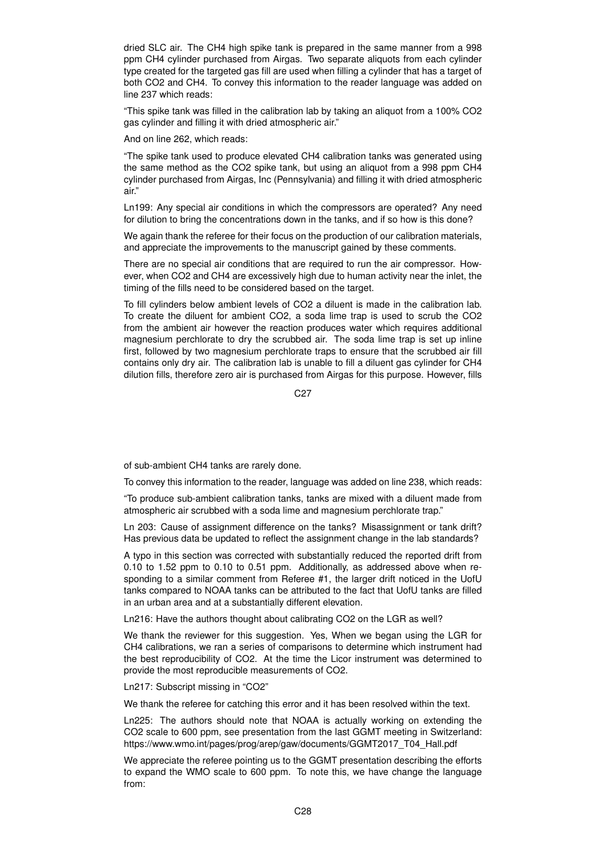dried SLC air. The CH4 high spike tank is prepared in the same manner from a 998 ppm CH4 cylinder purchased from Airgas. Two separate aliquots from each cylinder type created for the targeted gas fill are used when filling a cylinder that has a target of both CO2 and CH4. To convey this information to the reader language was added on line 237 which reads:

"This spike tank was filled in the calibration lab by taking an aliquot from a 100% CO2 gas cylinder and filling it with dried atmospheric air."

And on line 262, which reads:

"The spike tank used to produce elevated CH4 calibration tanks was generated using the same method as the CO2 spike tank, but using an aliquot from a 998 ppm CH4 cylinder purchased from Airgas, Inc (Pennsylvania) and filling it with dried atmospheric air."

Ln199: Any special air conditions in which the compressors are operated? Any need for dilution to bring the concentrations down in the tanks, and if so how is this done?

We again thank the referee for their focus on the production of our calibration materials, and appreciate the improvements to the manuscript gained by these comments.

There are no special air conditions that are required to run the air compressor. However, when CO2 and CH4 are excessively high due to human activity near the inlet, the timing of the fills need to be considered based on the target.

To fill cylinders below ambient levels of CO2 a diluent is made in the calibration lab. To create the diluent for ambient CO2, a soda lime trap is used to scrub the CO2 from the ambient air however the reaction produces water which requires additional magnesium perchlorate to dry the scrubbed air. The soda lime trap is set up inline first, followed by two magnesium perchlorate traps to ensure that the scrubbed air fill contains only dry air. The calibration lab is unable to fill a diluent gas cylinder for CH4 dilution fills, therefore zero air is purchased from Airgas for this purpose. However, fills

C27

of sub-ambient CH4 tanks are rarely done.

To convey this information to the reader, language was added on line 238, which reads:

"To produce sub-ambient calibration tanks, tanks are mixed with a diluent made from atmospheric air scrubbed with a soda lime and magnesium perchlorate trap."

Ln 203: Cause of assignment difference on the tanks? Misassignment or tank drift? Has previous data be updated to reflect the assignment change in the lab standards?

A typo in this section was corrected with substantially reduced the reported drift from 0.10 to 1.52 ppm to 0.10 to 0.51 ppm. Additionally, as addressed above when responding to a similar comment from Referee #1, the larger drift noticed in the UofU tanks compared to NOAA tanks can be attributed to the fact that UofU tanks are filled in an urban area and at a substantially different elevation.

Ln216: Have the authors thought about calibrating CO2 on the LGR as well?

We thank the reviewer for this suggestion. Yes, When we began using the LGR for CH4 calibrations, we ran a series of comparisons to determine which instrument had the best reproducibility of CO2. At the time the Licor instrument was determined to provide the most reproducible measurements of CO2.

Ln217: Subscript missing in "CO2"

We thank the referee for catching this error and it has been resolved within the text.

Ln225: The authors should note that NOAA is actually working on extending the CO2 scale to 600 ppm, see presentation from the last GGMT meeting in Switzerland: https://www.wmo.int/pages/prog/arep/gaw/documents/GGMT2017\_T04\_Hall.pdf

We appreciate the referee pointing us to the GGMT presentation describing the efforts to expand the WMO scale to 600 ppm. To note this, we have change the language from: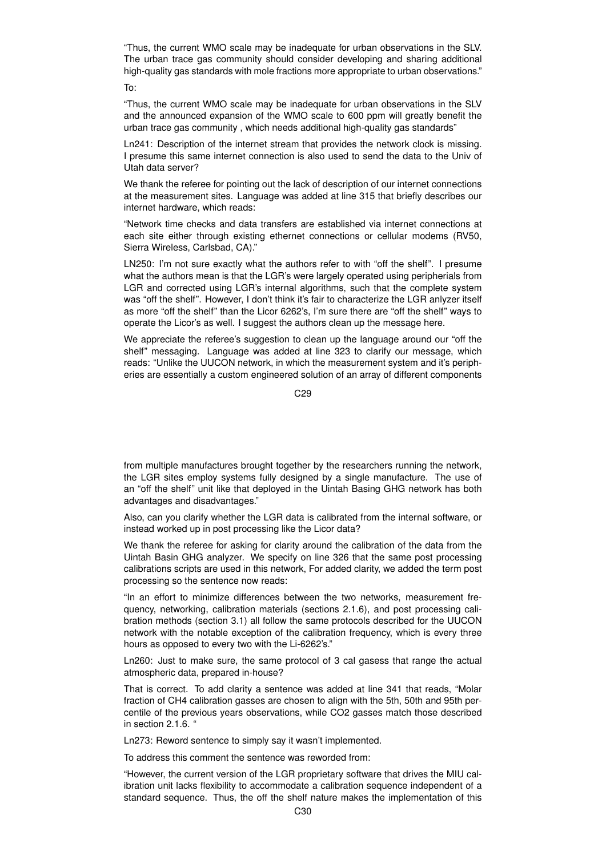"Thus, the current WMO scale may be inadequate for urban observations in the SLV. The urban trace gas community should consider developing and sharing additional high-quality gas standards with mole fractions more appropriate to urban observations."

To:

"Thus, the current WMO scale may be inadequate for urban observations in the SLV and the announced expansion of the WMO scale to 600 ppm will greatly benefit the urban trace gas community , which needs additional high-quality gas standards"

Ln241: Description of the internet stream that provides the network clock is missing. I presume this same internet connection is also used to send the data to the Univ of Utah data server?

We thank the referee for pointing out the lack of description of our internet connections at the measurement sites. Language was added at line 315 that briefly describes our internet hardware, which reads:

"Network time checks and data transfers are established via internet connections at each site either through existing ethernet connections or cellular modems (RV50, Sierra Wireless, Carlsbad, CA)."

LN250: I'm not sure exactly what the authors refer to with "off the shelf". I presume what the authors mean is that the LGR's were largely operated using peripherials from LGR and corrected using LGR's internal algorithms, such that the complete system was "off the shelf". However, I don't think it's fair to characterize the LGR anlyzer itself as more "off the shelf" than the Licor 6262's, I'm sure there are "off the shelf" ways to operate the Licor's as well. I suggest the authors clean up the message here.

We appreciate the referee's suggestion to clean up the language around our "off the shelf" messaging. Language was added at line 323 to clarify our message, which reads: "Unlike the UUCON network, in which the measurement system and it's peripheries are essentially a custom engineered solution of an array of different components

C29

from multiple manufactures brought together by the researchers running the network, the LGR sites employ systems fully designed by a single manufacture. The use of an "off the shelf" unit like that deployed in the Uintah Basing GHG network has both advantages and disadvantages."

Also, can you clarify whether the LGR data is calibrated from the internal software, or instead worked up in post processing like the Licor data?

We thank the referee for asking for clarity around the calibration of the data from the Uintah Basin GHG analyzer. We specify on line 326 that the same post processing calibrations scripts are used in this network, For added clarity, we added the term post processing so the sentence now reads:

"In an effort to minimize differences between the two networks, measurement frequency, networking, calibration materials (sections 2.1.6), and post processing calibration methods (section 3.1) all follow the same protocols described for the UUCON network with the notable exception of the calibration frequency, which is every three hours as opposed to every two with the Li-6262's."

Ln260: Just to make sure, the same protocol of 3 cal gasess that range the actual atmospheric data, prepared in-house?

That is correct. To add clarity a sentence was added at line 341 that reads, "Molar fraction of CH4 calibration gasses are chosen to align with the 5th, 50th and 95th percentile of the previous years observations, while CO2 gasses match those described in section 2.1.6. "

Ln273: Reword sentence to simply say it wasn't implemented.

To address this comment the sentence was reworded from:

"However, the current version of the LGR proprietary software that drives the MIU calibration unit lacks flexibility to accommodate a calibration sequence independent of a standard sequence. Thus, the off the shelf nature makes the implementation of this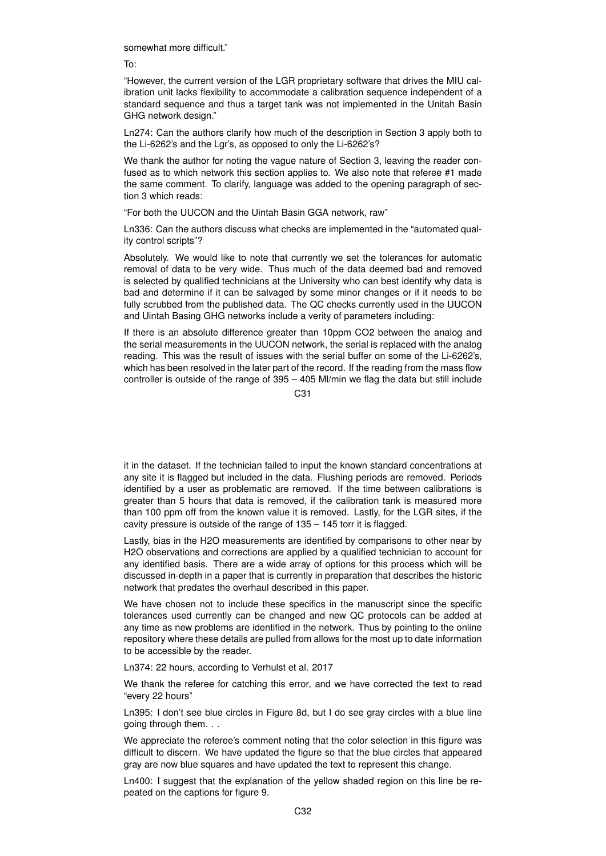somewhat more difficult."

To:

"However, the current version of the LGR proprietary software that drives the MIU calibration unit lacks flexibility to accommodate a calibration sequence independent of a standard sequence and thus a target tank was not implemented in the Unitah Basin GHG network design."

Ln274: Can the authors clarify how much of the description in Section 3 apply both to the Li-6262's and the Lgr's, as opposed to only the Li-6262's?

We thank the author for noting the vague nature of Section 3, leaving the reader confused as to which network this section applies to. We also note that referee #1 made the same comment. To clarify, language was added to the opening paragraph of section 3 which reads:

"For both the UUCON and the Uintah Basin GGA network, raw"

Ln336: Can the authors discuss what checks are implemented in the "automated quality control scripts"?

Absolutely. We would like to note that currently we set the tolerances for automatic removal of data to be very wide. Thus much of the data deemed bad and removed is selected by qualified technicians at the University who can best identify why data is bad and determine if it can be salvaged by some minor changes or if it needs to be fully scrubbed from the published data. The QC checks currently used in the UUCON and Uintah Basing GHG networks include a verity of parameters including:

If there is an absolute difference greater than 10ppm CO2 between the analog and the serial measurements in the UUCON network, the serial is replaced with the analog reading. This was the result of issues with the serial buffer on some of the Li-6262's, which has been resolved in the later part of the record. If the reading from the mass flow controller is outside of the range of 395 – 405 Ml/min we flag the data but still include

 $C<sub>31</sub>$ 

it in the dataset. If the technician failed to input the known standard concentrations at any site it is flagged but included in the data. Flushing periods are removed. Periods identified by a user as problematic are removed. If the time between calibrations is greater than 5 hours that data is removed, if the calibration tank is measured more than 100 ppm off from the known value it is removed. Lastly, for the LGR sites, if the cavity pressure is outside of the range of 135 – 145 torr it is flagged.

Lastly, bias in the H2O measurements are identified by comparisons to other near by H2O observations and corrections are applied by a qualified technician to account for any identified basis. There are a wide array of options for this process which will be discussed in-depth in a paper that is currently in preparation that describes the historic network that predates the overhaul described in this paper.

We have chosen not to include these specifics in the manuscript since the specific tolerances used currently can be changed and new QC protocols can be added at any time as new problems are identified in the network. Thus by pointing to the online repository where these details are pulled from allows for the most up to date information to be accessible by the reader.

Ln374: 22 hours, according to Verhulst et al. 2017

We thank the referee for catching this error, and we have corrected the text to read "every 22 hours"

Ln395: I don't see blue circles in Figure 8d, but I do see gray circles with a blue line going through them. . .

We appreciate the referee's comment noting that the color selection in this figure was difficult to discern. We have updated the figure so that the blue circles that appeared gray are now blue squares and have updated the text to represent this change.

Ln400: I suggest that the explanation of the yellow shaded region on this line be repeated on the captions for figure 9.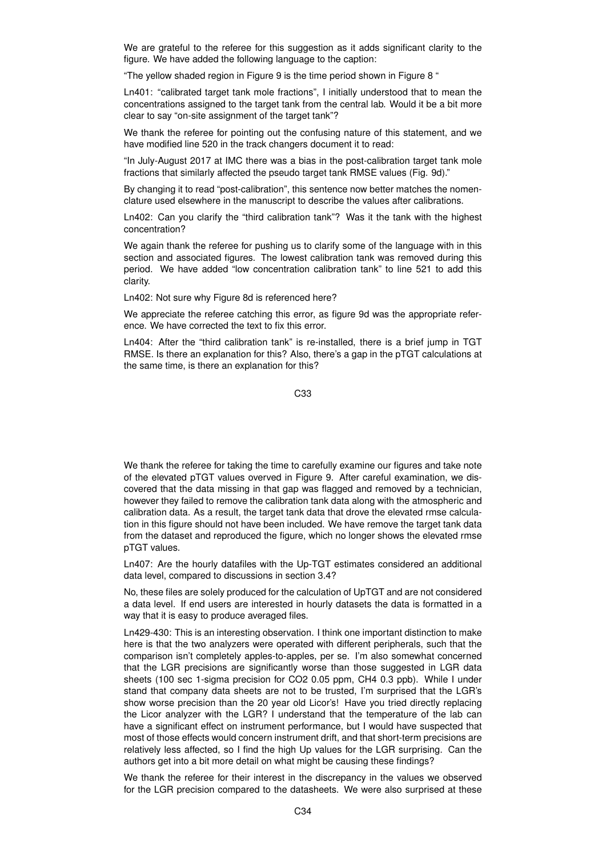We are grateful to the referee for this suggestion as it adds significant clarity to the figure. We have added the following language to the caption:

"The yellow shaded region in Figure 9 is the time period shown in Figure 8 "

Ln401: "calibrated target tank mole fractions", I initially understood that to mean the concentrations assigned to the target tank from the central lab. Would it be a bit more clear to say "on-site assignment of the target tank"?

We thank the referee for pointing out the confusing nature of this statement, and we have modified line 520 in the track changers document it to read:

"In July-August 2017 at IMC there was a bias in the post-calibration target tank mole fractions that similarly affected the pseudo target tank RMSE values (Fig. 9d)."

By changing it to read "post-calibration", this sentence now better matches the nomenclature used elsewhere in the manuscript to describe the values after calibrations.

Ln402: Can you clarify the "third calibration tank"? Was it the tank with the highest concentration?

We again thank the referee for pushing us to clarify some of the language with in this section and associated figures. The lowest calibration tank was removed during this period. We have added "low concentration calibration tank" to line 521 to add this clarity.

Ln402: Not sure why Figure 8d is referenced here?

We appreciate the referee catching this error, as figure 9d was the appropriate reference. We have corrected the text to fix this error.

Ln404: After the "third calibration tank" is re-installed, there is a brief jump in TGT RMSE. Is there an explanation for this? Also, there's a gap in the pTGT calculations at the same time, is there an explanation for this?

C33

We thank the referee for taking the time to carefully examine our figures and take note of the elevated pTGT values overved in Figure 9. After careful examination, we discovered that the data missing in that gap was flagged and removed by a technician, however they failed to remove the calibration tank data along with the atmospheric and calibration data. As a result, the target tank data that drove the elevated rmse calculation in this figure should not have been included. We have remove the target tank data from the dataset and reproduced the figure, which no longer shows the elevated rmse pTGT values.

Ln407: Are the hourly datafiles with the Up-TGT estimates considered an additional data level, compared to discussions in section 3.4?

No, these files are solely produced for the calculation of UpTGT and are not considered a data level. If end users are interested in hourly datasets the data is formatted in a way that it is easy to produce averaged files.

Ln429-430: This is an interesting observation. I think one important distinction to make here is that the two analyzers were operated with different peripherals, such that the comparison isn't completely apples-to-apples, per se. I'm also somewhat concerned that the LGR precisions are significantly worse than those suggested in LGR data sheets (100 sec 1-sigma precision for CO2 0.05 ppm, CH4 0.3 ppb). While I under stand that company data sheets are not to be trusted, I'm surprised that the LGR's show worse precision than the 20 year old Licor's! Have you tried directly replacing the Licor analyzer with the LGR? I understand that the temperature of the lab can have a significant effect on instrument performance, but I would have suspected that most of those effects would concern instrument drift, and that short-term precisions are relatively less affected, so I find the high Up values for the LGR surprising. Can the authors get into a bit more detail on what might be causing these findings?

We thank the referee for their interest in the discrepancy in the values we observed for the LGR precision compared to the datasheets. We were also surprised at these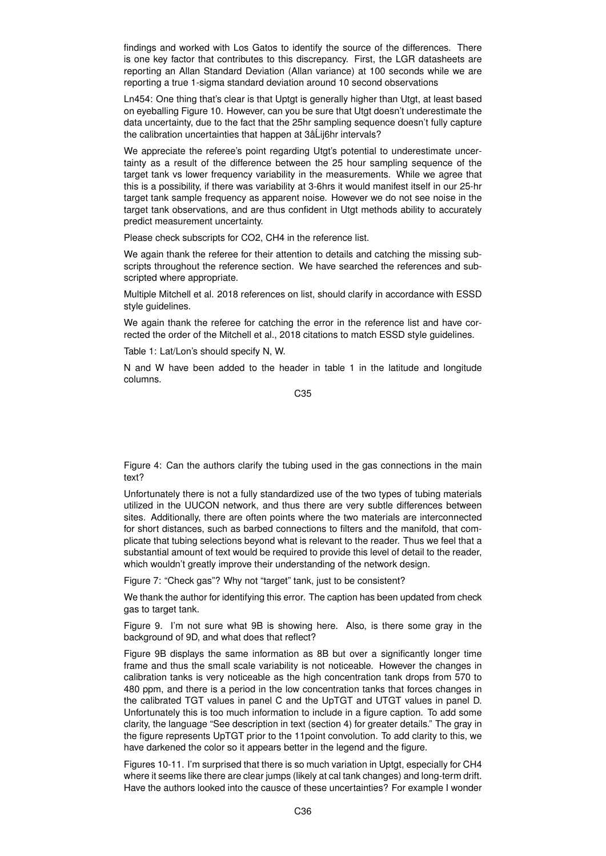findings and worked with Los Gatos to identify the source of the differences. There is one key factor that contributes to this discrepancy. First, the LGR datasheets are reporting an Allan Standard Deviation (Allan variance) at 100 seconds while we are reporting a true 1-sigma standard deviation around 10 second observations

Ln454: One thing that's clear is that Uptgt is generally higher than Utgt, at least based on eyeballing Figure 10. However, can you be sure that Utgt doesn't underestimate the data uncertainty, due to the fact that the 25hr sampling sequence doesn't fully capture the calibration uncertainties that happen at 3âLij6hr intervals?

We appreciate the referee's point regarding Utgt's potential to underestimate uncertainty as a result of the difference between the 25 hour sampling sequence of the target tank vs lower frequency variability in the measurements. While we agree that this is a possibility, if there was variability at 3-6hrs it would manifest itself in our 25-hr target tank sample frequency as apparent noise. However we do not see noise in the target tank observations, and are thus confident in Utgt methods ability to accurately predict measurement uncertainty.

Please check subscripts for CO2, CH4 in the reference list.

We again thank the referee for their attention to details and catching the missing subscripts throughout the reference section. We have searched the references and subscripted where appropriate.

Multiple Mitchell et al. 2018 references on list, should clarify in accordance with ESSD style guidelines.

We again thank the referee for catching the error in the reference list and have corrected the order of the Mitchell et al., 2018 citations to match ESSD style guidelines.

Table 1: Lat/Lon's should specify N, W.

N and W have been added to the header in table 1 in the latitude and longitude columns.

C35

Figure 4: Can the authors clarify the tubing used in the gas connections in the main text?

Unfortunately there is not a fully standardized use of the two types of tubing materials utilized in the UUCON network, and thus there are very subtle differences between sites. Additionally, there are often points where the two materials are interconnected for short distances, such as barbed connections to filters and the manifold, that complicate that tubing selections beyond what is relevant to the reader. Thus we feel that a substantial amount of text would be required to provide this level of detail to the reader, which wouldn't greatly improve their understanding of the network design.

Figure 7: "Check gas"? Why not "target" tank, just to be consistent?

We thank the author for identifying this error. The caption has been updated from check gas to target tank.

Figure 9. I'm not sure what 9B is showing here. Also, is there some gray in the background of 9D, and what does that reflect?

Figure 9B displays the same information as 8B but over a significantly longer time frame and thus the small scale variability is not noticeable. However the changes in calibration tanks is very noticeable as the high concentration tank drops from 570 to 480 ppm, and there is a period in the low concentration tanks that forces changes in the calibrated TGT values in panel C and the UpTGT and UTGT values in panel D. Unfortunately this is too much information to include in a figure caption. To add some clarity, the language "See description in text (section 4) for greater details." The gray in the figure represents UpTGT prior to the 11point convolution. To add clarity to this, we have darkened the color so it appears better in the legend and the figure.

Figures 10-11. I'm surprised that there is so much variation in Uptgt, especially for CH4 where it seems like there are clear jumps (likely at cal tank changes) and long-term drift. Have the authors looked into the causce of these uncertainties? For example I wonder